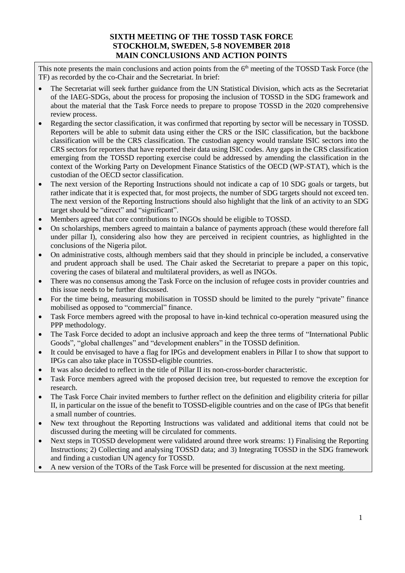## **SIXTH MEETING OF THE TOSSD TASK FORCE STOCKHOLM, SWEDEN, 5-8 NOVEMBER 2018 MAIN CONCLUSIONS AND ACTION POINTS**

This note presents the main conclusions and action points from the 6<sup>th</sup> meeting of the TOSSD Task Force (the TF) as recorded by the co-Chair and the Secretariat. In brief:

- The Secretariat will seek further guidance from the UN Statistical Division, which acts as the Secretariat of the IAEG-SDGs, about the process for proposing the inclusion of TOSSD in the SDG framework and about the material that the Task Force needs to prepare to propose TOSSD in the 2020 comprehensive review process.
- Regarding the sector classification, it was confirmed that reporting by sector will be necessary in TOSSD. Reporters will be able to submit data using either the CRS or the ISIC classification, but the backbone classification will be the CRS classification. The custodian agency would translate ISIC sectors into the CRS sectors for reporters that have reported their data using ISIC codes. Any gaps in the CRS classification emerging from the TOSSD reporting exercise could be addressed by amending the classification in the context of the Working Party on Development Finance Statistics of the OECD (WP-STAT), which is the custodian of the OECD sector classification.
- The next version of the Reporting Instructions should not indicate a cap of 10 SDG goals or targets, but rather indicate that it is expected that, for most projects, the number of SDG targets should not exceed ten. The next version of the Reporting Instructions should also highlight that the link of an activity to an SDG target should be "direct" and "significant".
- Members agreed that core contributions to INGOs should be eligible to TOSSD.
- On scholarships, members agreed to maintain a balance of payments approach (these would therefore fall under pillar I), considering also how they are perceived in recipient countries, as highlighted in the conclusions of the Nigeria pilot.
- On administrative costs, although members said that they should in principle be included, a conservative and prudent approach shall be used. The Chair asked the Secretariat to prepare a paper on this topic, covering the cases of bilateral and multilateral providers, as well as INGOs.
- There was no consensus among the Task Force on the inclusion of refugee costs in provider countries and this issue needs to be further discussed.
- For the time being, measuring mobilisation in TOSSD should be limited to the purely "private" finance mobilised as opposed to "commercial" finance.
- Task Force members agreed with the proposal to have in-kind technical co-operation measured using the PPP methodology.
- The Task Force decided to adopt an inclusive approach and keep the three terms of "International Public Goods", "global challenges" and "development enablers" in the TOSSD definition.
- It could be envisaged to have a flag for IPGs and development enablers in Pillar I to show that support to IPGs can also take place in TOSSD-eligible countries.
- It was also decided to reflect in the title of Pillar II its non-cross-border characteristic.
- Task Force members agreed with the proposed decision tree, but requested to remove the exception for research.
- The Task Force Chair invited members to further reflect on the definition and eligibility criteria for pillar II, in particular on the issue of the benefit to TOSSD-eligible countries and on the case of IPGs that benefit a small number of countries.
- New text throughout the Reporting Instructions was validated and additional items that could not be discussed during the meeting will be circulated for comments.
- Next steps in TOSSD development were validated around three work streams: 1) Finalising the Reporting Instructions; 2) Collecting and analysing TOSSD data; and 3) Integrating TOSSD in the SDG framework and finding a custodian UN agency for TOSSD.
- A new version of the TORs of the Task Force will be presented for discussion at the next meeting.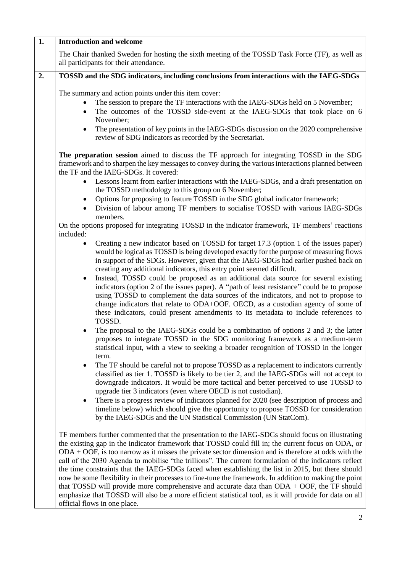| $\overline{1}$ . | <b>Introduction and welcome</b>                                                                                                                                                                                                                                                                                                                                                                                                                                                                                                                                                                                                                                                                                                                                                                                                                                                         |
|------------------|-----------------------------------------------------------------------------------------------------------------------------------------------------------------------------------------------------------------------------------------------------------------------------------------------------------------------------------------------------------------------------------------------------------------------------------------------------------------------------------------------------------------------------------------------------------------------------------------------------------------------------------------------------------------------------------------------------------------------------------------------------------------------------------------------------------------------------------------------------------------------------------------|
|                  | The Chair thanked Sweden for hosting the sixth meeting of the TOSSD Task Force (TF), as well as<br>all participants for their attendance.                                                                                                                                                                                                                                                                                                                                                                                                                                                                                                                                                                                                                                                                                                                                               |
| $\overline{2}$ . | TOSSD and the SDG indicators, including conclusions from interactions with the IAEG-SDGs                                                                                                                                                                                                                                                                                                                                                                                                                                                                                                                                                                                                                                                                                                                                                                                                |
|                  | The summary and action points under this item cover:<br>The session to prepare the TF interactions with the IAEG-SDGs held on 5 November;<br>The outcomes of the TOSSD side-event at the IAEG-SDGs that took place on 6<br>November;<br>The presentation of key points in the IAEG-SDGs discussion on the 2020 comprehensive<br>review of SDG indicators as recorded by the Secretariat.                                                                                                                                                                                                                                                                                                                                                                                                                                                                                                |
|                  | The preparation session aimed to discuss the TF approach for integrating TOSSD in the SDG<br>framework and to sharpen the key messages to convey during the various interactions planned between<br>the TF and the IAEG-SDGs. It covered:                                                                                                                                                                                                                                                                                                                                                                                                                                                                                                                                                                                                                                               |
|                  | Lessons learnt from earlier interactions with the IAEG-SDGs, and a draft presentation on<br>$\bullet$<br>the TOSSD methodology to this group on 6 November;<br>Options for proposing to feature TOSSD in the SDG global indicator framework;<br>Division of labour among TF members to socialise TOSSD with various IAEG-SDGs<br>members.                                                                                                                                                                                                                                                                                                                                                                                                                                                                                                                                               |
|                  | On the options proposed for integrating TOSSD in the indicator framework, TF members' reactions<br>included:                                                                                                                                                                                                                                                                                                                                                                                                                                                                                                                                                                                                                                                                                                                                                                            |
|                  | Creating a new indicator based on TOSSD for target 17.3 (option 1 of the issues paper)<br>$\bullet$<br>would be logical as TOSSD is being developed exactly for the purpose of measuring flows<br>in support of the SDGs. However, given that the IAEG-SDGs had earlier pushed back on<br>creating any additional indicators, this entry point seemed difficult.<br>Instead, TOSSD could be proposed as an additional data source for several existing<br>indicators (option 2 of the issues paper). A "path of least resistance" could be to propose<br>using TOSSD to complement the data sources of the indicators, and not to propose to<br>change indicators that relate to ODA+OOF. OECD, as a custodian agency of some of<br>these indicators, could present amendments to its metadata to include references to<br>TOSSD.                                                       |
|                  | The proposal to the IAEG-SDGs could be a combination of options 2 and 3; the latter<br>proposes to integrate TOSSD in the SDG monitoring framework as a medium-term<br>statistical input, with a view to seeking a broader recognition of TOSSD in the longer<br>term.<br>The TF should be careful not to propose TOSSD as a replacement to indicators currently<br>٠<br>classified as tier 1. TOSSD is likely to be tier 2, and the IAEG-SDGs will not accept to<br>downgrade indicators. It would be more tactical and better perceived to use TOSSD to<br>upgrade tier 3 indicators (even where OECD is not custodian).                                                                                                                                                                                                                                                              |
|                  | There is a progress review of indicators planned for 2020 (see description of process and<br>timeline below) which should give the opportunity to propose TOSSD for consideration<br>by the IAEG-SDGs and the UN Statistical Commission (UN StatCom).                                                                                                                                                                                                                                                                                                                                                                                                                                                                                                                                                                                                                                   |
|                  | TF members further commented that the presentation to the IAEG-SDGs should focus on illustrating<br>the existing gap in the indicator framework that TOSSD could fill in; the current focus on ODA, or<br>$ODA + OOF$ , is too narrow as it misses the private sector dimension and is therefore at odds with the<br>call of the 2030 Agenda to mobilise "the trillions". The current formulation of the indicators reflect<br>the time constraints that the IAEG-SDGs faced when establishing the list in 2015, but there should<br>now be some flexibility in their processes to fine-tune the framework. In addition to making the point<br>that TOSSD will provide more comprehensive and accurate data than $ODA + OOF$ , the TF should<br>emphasize that TOSSD will also be a more efficient statistical tool, as it will provide for data on all<br>official flows in one place. |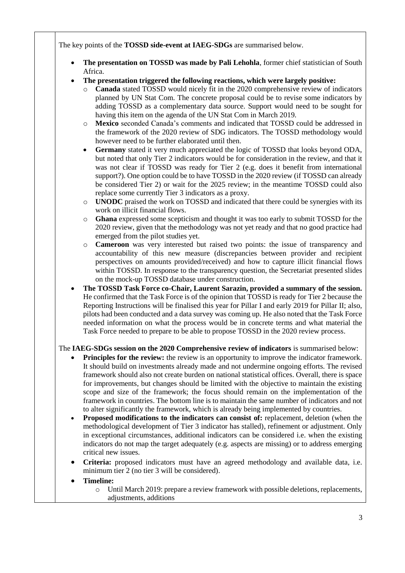The key points of the **TOSSD side-event at IAEG-SDGs** are summarised below.

- **The presentation on TOSSD was made by Pali Lehohla**, former chief statistician of South Africa.
- **The presentation triggered the following reactions, which were largely positive:**
	- **Canada** stated TOSSD would nicely fit in the 2020 comprehensive review of indicators planned by UN Stat Com. The concrete proposal could be to revise some indicators by adding TOSSD as a complementary data source. Support would need to be sought for having this item on the agenda of the UN Stat Com in March 2019.
	- o **Mexico** seconded Canada's comments and indicated that TOSSD could be addressed in the framework of the 2020 review of SDG indicators. The TOSSD methodology would however need to be further elaborated until then.
	- **Germany** stated it very much appreciated the logic of TOSSD that looks beyond ODA, but noted that only Tier 2 indicators would be for consideration in the review, and that it was not clear if TOSSD was ready for Tier 2 (e.g. does it benefit from international support?). One option could be to have TOSSD in the 2020 review (if TOSSD can already be considered Tier 2) or wait for the 2025 review; in the meantime TOSSD could also replace some currently Tier 3 indicators as a proxy.
	- o **UNODC** praised the work on TOSSD and indicated that there could be synergies with its work on illicit financial flows.
	- o **Ghana** expressed some scepticism and thought it was too early to submit TOSSD for the 2020 review, given that the methodology was not yet ready and that no good practice had emerged from the pilot studies yet.
	- o **Cameroon** was very interested but raised two points: the issue of transparency and accountability of this new measure (discrepancies between provider and recipient perspectives on amounts provided/received) and how to capture illicit financial flows within TOSSD. In response to the transparency question, the Secretariat presented slides on the mock-up TOSSD database under construction.
- **The TOSSD Task Force co-Chair, Laurent Sarazin, provided a summary of the session.** He confirmed that the Task Force is of the opinion that TOSSD is ready for Tier 2 because the Reporting Instructions will be finalised this year for Pillar I and early 2019 for Pillar II; also, pilots had been conducted and a data survey was coming up. He also noted that the Task Force needed information on what the process would be in concrete terms and what material the Task Force needed to prepare to be able to propose TOSSD in the 2020 review process.

## The **IAEG-SDGs session on the 2020 Comprehensive review of indicators** is summarised below:

- **Principles for the review:** the review is an opportunity to improve the indicator framework. It should build on investments already made and not undermine ongoing efforts. The revised framework should also not create burden on national statistical offices. Overall, there is space for improvements, but changes should be limited with the objective to maintain the existing scope and size of the framework; the focus should remain on the implementation of the framework in countries. The bottom line is to maintain the same number of indicators and not to alter significantly the framework, which is already being implemented by countries.
- **Proposed modifications to the indicators can consist of:** replacement, deletion (when the methodological development of Tier 3 indicator has stalled), refinement or adjustment. Only in exceptional circumstances, additional indicators can be considered i.e. when the existing indicators do not map the target adequately (e.g. aspects are missing) or to address emerging critical new issues.
- **Criteria:** proposed indicators must have an agreed methodology and available data, i.e. minimum tier 2 (no tier 3 will be considered).

## **Timeline:**

o Until March 2019: prepare a review framework with possible deletions, replacements, adjustments, additions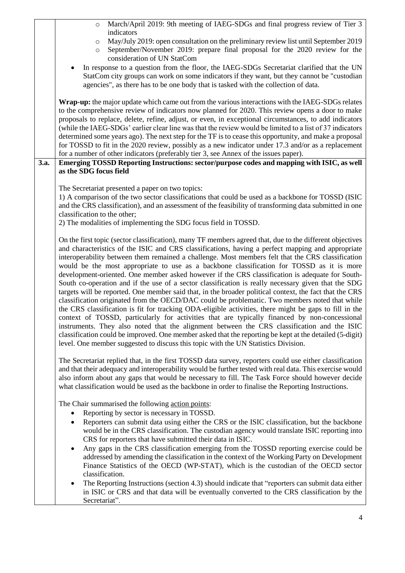|      | March/April 2019: 9th meeting of IAEG-SDGs and final progress review of Tier 3<br>$\circ$                                                                                                                    |
|------|--------------------------------------------------------------------------------------------------------------------------------------------------------------------------------------------------------------|
|      | indicators                                                                                                                                                                                                   |
|      | May/July 2019: open consultation on the preliminary review list until September 2019<br>$\circ$                                                                                                              |
|      | September/November 2019: prepare final proposal for the 2020 review for the<br>$\circ$                                                                                                                       |
|      | consideration of UN StatCom                                                                                                                                                                                  |
|      | In response to a question from the floor, the IAEG-SDGs Secretariat clarified that the UN                                                                                                                    |
|      | StatCom city groups can work on some indicators if they want, but they cannot be "custodian"                                                                                                                 |
|      | agencies", as there has to be one body that is tasked with the collection of data.                                                                                                                           |
|      | Wrap-up: the major update which came out from the various interactions with the IAEG-SDGs relates                                                                                                            |
|      | to the comprehensive review of indicators now planned for 2020. This review opens a door to make                                                                                                             |
|      | proposals to replace, delete, refine, adjust, or even, in exceptional circumstances, to add indicators                                                                                                       |
|      | (while the IAEG-SDGs' earlier clear line was that the review would be limited to a list of 37 indicators                                                                                                     |
|      | determined some years ago). The next step for the TF is to cease this opportunity, and make a proposal                                                                                                       |
|      | for TOSSD to fit in the 2020 review, possibly as a new indicator under 17.3 and/or as a replacement                                                                                                          |
|      | for a number of other indicators (preferably tier 3, see Annex of the issues paper).                                                                                                                         |
| 3.a. | Emerging TOSSD Reporting Instructions: sector/purpose codes and mapping with ISIC, as well                                                                                                                   |
|      | as the SDG focus field                                                                                                                                                                                       |
|      |                                                                                                                                                                                                              |
|      | The Secretariat presented a paper on two topics:                                                                                                                                                             |
|      | 1) A comparison of the two sector classifications that could be used as a backbone for TOSSD (ISIC                                                                                                           |
|      | and the CRS classification), and an assessment of the feasibility of transforming data submitted in one                                                                                                      |
|      | classification to the other;                                                                                                                                                                                 |
|      | 2) The modalities of implementing the SDG focus field in TOSSD.                                                                                                                                              |
|      | On the first topic (sector classification), many TF members agreed that, due to the different objectives                                                                                                     |
|      | and characteristics of the ISIC and CRS classifications, having a perfect mapping and appropriate                                                                                                            |
|      | interoperability between them remained a challenge. Most members felt that the CRS classification                                                                                                            |
|      | would be the most appropriate to use as a backbone classification for TOSSD as it is more                                                                                                                    |
|      | development-oriented. One member asked however if the CRS classification is adequate for South-                                                                                                              |
|      | South co-operation and if the use of a sector classification is really necessary given that the SDG                                                                                                          |
|      | targets will be reported. One member said that, in the broader political context, the fact that the CRS                                                                                                      |
|      | classification originated from the OECD/DAC could be problematic. Two members noted that while                                                                                                               |
|      | the CRS classification is fit for tracking ODA-eligible activities, there might be gaps to fill in the                                                                                                       |
|      | context of TOSSD, particularly for activities that are typically financed by non-concessional                                                                                                                |
|      | instruments. They also noted that the alignment between the CRS classification and the ISIC                                                                                                                  |
|      | classification could be improved. One member asked that the reporting be kept at the detailed (5-digit)                                                                                                      |
|      | level. One member suggested to discuss this topic with the UN Statistics Division.                                                                                                                           |
|      |                                                                                                                                                                                                              |
|      | The Secretariat replied that, in the first TOSSD data survey, reporters could use either classification                                                                                                      |
|      | and that their adequacy and interoperability would be further tested with real data. This exercise would<br>also inform about any gaps that would be necessary to fill. The Task Force should however decide |
|      | what classification would be used as the backbone in order to finalise the Reporting Instructions.                                                                                                           |
|      |                                                                                                                                                                                                              |
|      | The Chair summarised the following action points:                                                                                                                                                            |
|      | Reporting by sector is necessary in TOSSD.                                                                                                                                                                   |
|      | Reporters can submit data using either the CRS or the ISIC classification, but the backbone                                                                                                                  |
|      | would be in the CRS classification. The custodian agency would translate ISIC reporting into                                                                                                                 |
|      | CRS for reporters that have submitted their data in ISIC.                                                                                                                                                    |
|      | Any gaps in the CRS classification emerging from the TOSSD reporting exercise could be                                                                                                                       |
|      | addressed by amending the classification in the context of the Working Party on Development                                                                                                                  |
|      | Finance Statistics of the OECD (WP-STAT), which is the custodian of the OECD sector                                                                                                                          |
|      | classification.                                                                                                                                                                                              |
|      | The Reporting Instructions (section 4.3) should indicate that "reporters can submit data either                                                                                                              |
|      | in ISIC or CRS and that data will be eventually converted to the CRS classification by the                                                                                                                   |
|      | Secretariat".                                                                                                                                                                                                |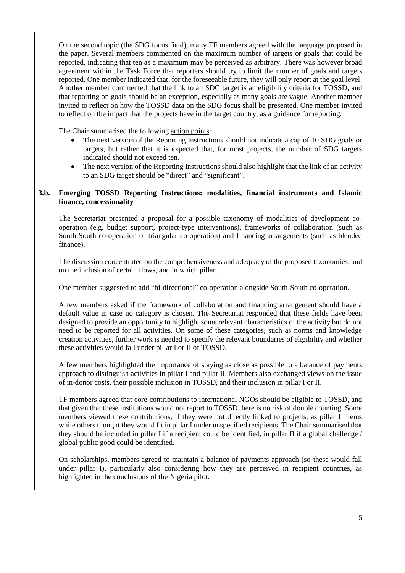|      | On the second topic (the SDG focus field), many TF members agreed with the language proposed in<br>the paper. Several members commented on the maximum number of targets or goals that could be<br>reported, indicating that ten as a maximum may be perceived as arbitrary. There was however broad<br>agreement within the Task Force that reporters should try to limit the number of goals and targets<br>reported. One member indicated that, for the foreseeable future, they will only report at the goal level.<br>Another member commented that the link to an SDG target is an eligibility criteria for TOSSD, and<br>that reporting on goals should be an exception, especially as many goals are vague. Another member<br>invited to reflect on how the TOSSD data on the SDG focus shall be presented. One member invited<br>to reflect on the impact that the projects have in the target country, as a guidance for reporting. |
|------|-----------------------------------------------------------------------------------------------------------------------------------------------------------------------------------------------------------------------------------------------------------------------------------------------------------------------------------------------------------------------------------------------------------------------------------------------------------------------------------------------------------------------------------------------------------------------------------------------------------------------------------------------------------------------------------------------------------------------------------------------------------------------------------------------------------------------------------------------------------------------------------------------------------------------------------------------|
|      | The Chair summarised the following action points:<br>The next version of the Reporting Instructions should not indicate a cap of 10 SDG goals or<br>targets, but rather that it is expected that, for most projects, the number of SDG targets<br>indicated should not exceed ten.<br>The next version of the Reporting Instructions should also highlight that the link of an activity<br>$\bullet$<br>to an SDG target should be "direct" and "significant".                                                                                                                                                                                                                                                                                                                                                                                                                                                                                |
| 3.b. | Emerging TOSSD Reporting Instructions: modalities, financial instruments and Islamic<br>finance, concessionality                                                                                                                                                                                                                                                                                                                                                                                                                                                                                                                                                                                                                                                                                                                                                                                                                              |
|      | The Secretariat presented a proposal for a possible taxonomy of modalities of development co-<br>operation (e.g. budget support, project-type interventions), frameworks of collaboration (such as<br>South-South co-operation or triangular co-operation) and financing arrangements (such as blended<br>finance).                                                                                                                                                                                                                                                                                                                                                                                                                                                                                                                                                                                                                           |
|      | The discussion concentrated on the comprehensiveness and adequacy of the proposed taxonomies, and<br>on the inclusion of certain flows, and in which pillar.                                                                                                                                                                                                                                                                                                                                                                                                                                                                                                                                                                                                                                                                                                                                                                                  |
|      | One member suggested to add "bi-directional" co-operation alongside South-South co-operation.                                                                                                                                                                                                                                                                                                                                                                                                                                                                                                                                                                                                                                                                                                                                                                                                                                                 |
|      | A few members asked if the framework of collaboration and financing arrangement should have a<br>default value in case no category is chosen. The Secretariat responded that these fields have been<br>designed to provide an opportunity to highlight some relevant characteristics of the activity but do not<br>need to be reported for all activities. On some of these categories, such as norms and knowledge<br>creation activities, further work is needed to specify the relevant boundaries of eligibility and whether<br>these activities would fall under pillar I or II of TOSSD.                                                                                                                                                                                                                                                                                                                                                |
|      | A few members highlighted the importance of staying as close as possible to a balance of payments<br>approach to distinguish activities in pillar I and pillar II. Members also exchanged views on the issue<br>of in-donor costs, their possible inclusion in TOSSD, and their inclusion in pillar I or II.                                                                                                                                                                                                                                                                                                                                                                                                                                                                                                                                                                                                                                  |
|      | TF members agreed that core-contributions to international NGOs should be eligible to TOSSD, and<br>that given that these institutions would not report to TOSSD there is no risk of double counting. Some<br>members viewed these contributions, if they were not directly linked to projects, as pillar II items<br>while others thought they would fit in pillar I under unspecified recipients. The Chair summarised that<br>they should be included in pillar I if a recipient could be identified, in pillar II if a global challenge /<br>global public good could be identified.                                                                                                                                                                                                                                                                                                                                                      |
|      | On scholarships, members agreed to maintain a balance of payments approach (so these would fall<br>under pillar I), particularly also considering how they are perceived in recipient countries, as<br>highlighted in the conclusions of the Nigeria pilot.                                                                                                                                                                                                                                                                                                                                                                                                                                                                                                                                                                                                                                                                                   |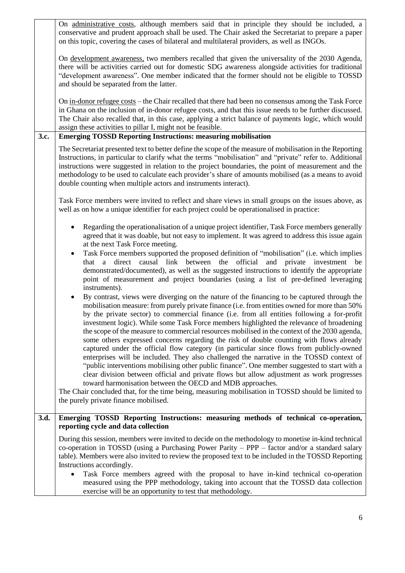|      | On administrative costs, although members said that in principle they should be included, a<br>conservative and prudent approach shall be used. The Chair asked the Secretariat to prepare a paper<br>on this topic, covering the cases of bilateral and multilateral providers, as well as INGOs.                                                                                                                                                                                                                                                                                                                                                                                                                                                                                                                                                                                                                                                                                                                                                                                                                                                                                                                 |
|------|--------------------------------------------------------------------------------------------------------------------------------------------------------------------------------------------------------------------------------------------------------------------------------------------------------------------------------------------------------------------------------------------------------------------------------------------------------------------------------------------------------------------------------------------------------------------------------------------------------------------------------------------------------------------------------------------------------------------------------------------------------------------------------------------------------------------------------------------------------------------------------------------------------------------------------------------------------------------------------------------------------------------------------------------------------------------------------------------------------------------------------------------------------------------------------------------------------------------|
|      | On <u>development awareness</u> , two members recalled that given the universality of the 2030 Agenda,<br>there will be activities carried out for domestic SDG awareness alongside activities for traditional<br>"development awareness". One member indicated that the former should not be eligible to TOSSD<br>and should be separated from the latter.                                                                                                                                                                                                                                                                                                                                                                                                                                                                                                                                                                                                                                                                                                                                                                                                                                                        |
|      | On in-donor refugee costs – the Chair recalled that there had been no consensus among the Task Force<br>in Ghana on the inclusion of in-donor refugee costs, and that this issue needs to be further discussed.<br>The Chair also recalled that, in this case, applying a strict balance of payments logic, which would<br>assign these activities to pillar I, might not be feasible.                                                                                                                                                                                                                                                                                                                                                                                                                                                                                                                                                                                                                                                                                                                                                                                                                             |
| 3.c. | <b>Emerging TOSSD Reporting Instructions: measuring mobilisation</b>                                                                                                                                                                                                                                                                                                                                                                                                                                                                                                                                                                                                                                                                                                                                                                                                                                                                                                                                                                                                                                                                                                                                               |
|      | The Secretariat presented text to better define the scope of the measure of mobilisation in the Reporting<br>Instructions, in particular to clarify what the terms "mobilisation" and "private" refer to. Additional<br>instructions were suggested in relation to the project boundaries, the point of measurement and the<br>methodology to be used to calculate each provider's share of amounts mobilised (as a means to avoid<br>double counting when multiple actors and instruments interact).                                                                                                                                                                                                                                                                                                                                                                                                                                                                                                                                                                                                                                                                                                              |
|      | Task Force members were invited to reflect and share views in small groups on the issues above, as<br>well as on how a unique identifier for each project could be operationalised in practice:                                                                                                                                                                                                                                                                                                                                                                                                                                                                                                                                                                                                                                                                                                                                                                                                                                                                                                                                                                                                                    |
|      | Regarding the operationalisation of a unique project identifier, Task Force members generally<br>agreed that it was doable, but not easy to implement. It was agreed to address this issue again<br>at the next Task Force meeting.<br>Task Force members supported the proposed definition of "mobilisation" (i.e. which implies<br>$\bullet$<br>direct causal link between the<br>official<br>and<br>that a<br>private investment be<br>demonstrated/documented), as well as the suggested instructions to identify the appropriate<br>point of measurement and project boundaries (using a list of pre-defined leveraging                                                                                                                                                                                                                                                                                                                                                                                                                                                                                                                                                                                       |
|      | instruments).<br>By contrast, views were diverging on the nature of the financing to be captured through the<br>$\bullet$<br>mobilisation measure: from purely private finance (i.e. from entities owned for more than 50%<br>by the private sector) to commercial finance (i.e. from all entities following a for-profit<br>investment logic). While some Task Force members highlighted the relevance of broadening<br>the scope of the measure to commercial resources mobilised in the context of the 2030 agenda,<br>some others expressed concerns regarding the risk of double counting with flows already<br>captured under the official flow category (in particular since flows from publicly-owned<br>enterprises will be included. They also challenged the narrative in the TOSSD context of<br>"public interventions mobilising other public finance". One member suggested to start with a<br>clear division between official and private flows but allow adjustment as work progresses<br>toward harmonisation between the OECD and MDB approaches.<br>The Chair concluded that, for the time being, measuring mobilisation in TOSSD should be limited to<br>the purely private finance mobilised. |
| 3.d. | Emerging TOSSD Reporting Instructions: measuring methods of technical co-operation,<br>reporting cycle and data collection                                                                                                                                                                                                                                                                                                                                                                                                                                                                                                                                                                                                                                                                                                                                                                                                                                                                                                                                                                                                                                                                                         |
|      | During this session, members were invited to decide on the methodology to monetise in-kind technical<br>co-operation in TOSSD (using a Purchasing Power Parity $-$ PPP $-$ factor and/or a standard salary<br>table). Members were also invited to review the proposed text to be included in the TOSSD Reporting<br>Instructions accordingly.<br>Task Force members agreed with the proposal to have in-kind technical co-operation<br>measured using the PPP methodology, taking into account that the TOSSD data collection<br>exercise will be an opportunity to test that methodology.                                                                                                                                                                                                                                                                                                                                                                                                                                                                                                                                                                                                                        |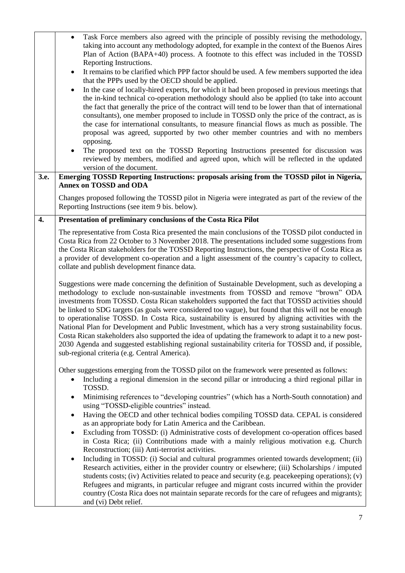|      | Task Force members also agreed with the principle of possibly revising the methodology,<br>$\bullet$<br>taking into account any methodology adopted, for example in the context of the Buenos Aires<br>Plan of Action (BAPA+40) process. A footnote to this effect was included in the TOSSD<br>Reporting Instructions.<br>It remains to be clarified which PPP factor should be used. A few members supported the idea<br>that the PPPs used by the OECD should be applied.<br>In the case of locally-hired experts, for which it had been proposed in previous meetings that<br>٠<br>the in-kind technical co-operation methodology should also be applied (to take into account<br>the fact that generally the price of the contract will tend to be lower than that of international<br>consultants), one member proposed to include in TOSSD only the price of the contract, as is<br>the case for international consultants, to measure financial flows as much as possible. The<br>proposal was agreed, supported by two other member countries and with no members<br>opposing.<br>The proposed text on the TOSSD Reporting Instructions presented for discussion was<br>$\bullet$<br>reviewed by members, modified and agreed upon, which will be reflected in the updated<br>version of the document. |
|------|-----------------------------------------------------------------------------------------------------------------------------------------------------------------------------------------------------------------------------------------------------------------------------------------------------------------------------------------------------------------------------------------------------------------------------------------------------------------------------------------------------------------------------------------------------------------------------------------------------------------------------------------------------------------------------------------------------------------------------------------------------------------------------------------------------------------------------------------------------------------------------------------------------------------------------------------------------------------------------------------------------------------------------------------------------------------------------------------------------------------------------------------------------------------------------------------------------------------------------------------------------------------------------------------------------------------|
| 3.e. | Emerging TOSSD Reporting Instructions: proposals arising from the TOSSD pilot in Nigeria,<br>Annex on TOSSD and ODA                                                                                                                                                                                                                                                                                                                                                                                                                                                                                                                                                                                                                                                                                                                                                                                                                                                                                                                                                                                                                                                                                                                                                                                             |
|      | Changes proposed following the TOSSD pilot in Nigeria were integrated as part of the review of the<br>Reporting Instructions (see item 9 bis. below).                                                                                                                                                                                                                                                                                                                                                                                                                                                                                                                                                                                                                                                                                                                                                                                                                                                                                                                                                                                                                                                                                                                                                           |
| 4.   | Presentation of preliminary conclusions of the Costa Rica Pilot                                                                                                                                                                                                                                                                                                                                                                                                                                                                                                                                                                                                                                                                                                                                                                                                                                                                                                                                                                                                                                                                                                                                                                                                                                                 |
|      | The representative from Costa Rica presented the main conclusions of the TOSSD pilot conducted in<br>Costa Rica from 22 October to 3 November 2018. The presentations included some suggestions from<br>the Costa Rican stakeholders for the TOSSD Reporting Instructions, the perspective of Costa Rica as<br>a provider of development co-operation and a light assessment of the country's capacity to collect,<br>collate and publish development finance data.                                                                                                                                                                                                                                                                                                                                                                                                                                                                                                                                                                                                                                                                                                                                                                                                                                             |
|      | Suggestions were made concerning the definition of Sustainable Development, such as developing a<br>methodology to exclude non-sustainable investments from TOSSD and remove "brown" ODA<br>investments from TOSSD. Costa Rican stakeholders supported the fact that TOSSD activities should<br>be linked to SDG targets (as goals were considered too vague), but found that this will not be enough<br>to operationalise TOSSD. In Costa Rica, sustainability is ensured by aligning activities with the<br>National Plan for Development and Public Investment, which has a very strong sustainability focus.<br>Costa Rican stakeholders also supported the idea of updating the framework to adapt it to a new post-<br>2030 Agenda and suggested establishing regional sustainability criteria for TOSSD and, if possible,<br>sub-regional criteria (e.g. Central America).                                                                                                                                                                                                                                                                                                                                                                                                                               |
|      | Other suggestions emerging from the TOSSD pilot on the framework were presented as follows:<br>Including a regional dimension in the second pillar or introducing a third regional pillar in<br>TOSSD.                                                                                                                                                                                                                                                                                                                                                                                                                                                                                                                                                                                                                                                                                                                                                                                                                                                                                                                                                                                                                                                                                                          |
|      | Minimising references to "developing countries" (which has a North-South connotation) and<br>$\bullet$<br>using "TOSSD-eligible countries" instead.<br>Having the OECD and other technical bodies compiling TOSSD data. CEPAL is considered<br>٠<br>as an appropriate body for Latin America and the Caribbean.                                                                                                                                                                                                                                                                                                                                                                                                                                                                                                                                                                                                                                                                                                                                                                                                                                                                                                                                                                                                 |
|      | Excluding from TOSSD: (i) Administrative costs of development co-operation offices based<br>$\bullet$<br>in Costa Rica; (ii) Contributions made with a mainly religious motivation e.g. Church<br>Reconstruction; (iii) Anti-terrorist activities.                                                                                                                                                                                                                                                                                                                                                                                                                                                                                                                                                                                                                                                                                                                                                                                                                                                                                                                                                                                                                                                              |
|      | Including in TOSSD: (i) Social and cultural programmes oriented towards development; (ii)<br>$\bullet$<br>Research activities, either in the provider country or elsewhere; (iii) Scholarships / imputed<br>students costs; (iv) Activities related to peace and security (e.g. peacekeeping operations); (v)<br>Refugees and migrants, in particular refugee and migrant costs incurred within the provider<br>country (Costa Rica does not maintain separate records for the care of refugees and migrants);<br>and (vi) Debt relief.                                                                                                                                                                                                                                                                                                                                                                                                                                                                                                                                                                                                                                                                                                                                                                         |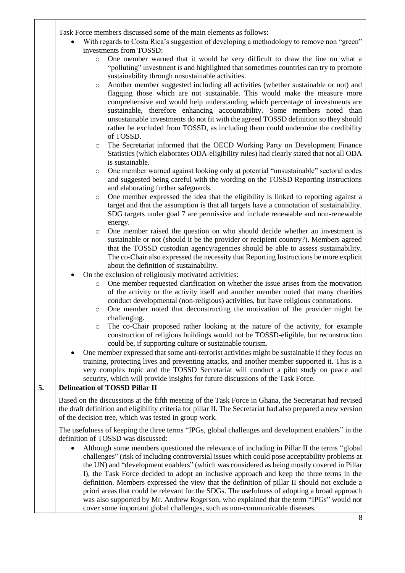Task Force members discussed some of the main elements as follows:

|    | Task Force members discussed some of the main elements as follows:                                                                                                                                                                                                                                                                                                                                                                                                                                                                                                                                                                                                                   |
|----|--------------------------------------------------------------------------------------------------------------------------------------------------------------------------------------------------------------------------------------------------------------------------------------------------------------------------------------------------------------------------------------------------------------------------------------------------------------------------------------------------------------------------------------------------------------------------------------------------------------------------------------------------------------------------------------|
|    | With regards to Costa Rica's suggestion of developing a methodology to remove non "green"                                                                                                                                                                                                                                                                                                                                                                                                                                                                                                                                                                                            |
|    | investments from TOSSD:                                                                                                                                                                                                                                                                                                                                                                                                                                                                                                                                                                                                                                                              |
|    | One member warned that it would be very difficult to draw the line on what a<br>$\circ$<br>"polluting" investment is and highlighted that sometimes countries can try to promote<br>sustainability through unsustainable activities.                                                                                                                                                                                                                                                                                                                                                                                                                                                 |
|    | Another member suggested including all activities (whether sustainable or not) and<br>$\circ$<br>flagging those which are not sustainable. This would make the measure more<br>comprehensive and would help understanding which percentage of investments are<br>sustainable, therefore enhancing accountability. Some members noted than<br>unsustainable investments do not fit with the agreed TOSSD definition so they should<br>rather be excluded from TOSSD, as including them could undermine the credibility<br>of TOSSD.                                                                                                                                                   |
|    | The Secretariat informed that the OECD Working Party on Development Finance<br>$\circ$<br>Statistics (which elaborates ODA-eligibility rules) had clearly stated that not all ODA<br>is sustainable.                                                                                                                                                                                                                                                                                                                                                                                                                                                                                 |
|    | One member warned against looking only at potential "unsustainable" sectoral codes<br>$\circ$<br>and suggested being careful with the wording on the TOSSD Reporting Instructions<br>and elaborating further safeguards.                                                                                                                                                                                                                                                                                                                                                                                                                                                             |
|    | One member expressed the idea that the eligibility is linked to reporting against a<br>$\circ$<br>target and that the assumption is that all targets have a connotation of sustainability.<br>SDG targets under goal 7 are permissive and include renewable and non-renewable<br>energy.                                                                                                                                                                                                                                                                                                                                                                                             |
|    | One member raised the question on who should decide whether an investment is<br>$\circ$<br>sustainable or not (should it be the provider or recipient country?). Members agreed<br>that the TOSSD custodian agency/agencies should be able to assess sustainability.<br>The co-Chair also expressed the necessity that Reporting Instructions be more explicit<br>about the definition of sustainability.                                                                                                                                                                                                                                                                            |
|    | On the exclusion of religiously motivated activities:                                                                                                                                                                                                                                                                                                                                                                                                                                                                                                                                                                                                                                |
|    | One member requested clarification on whether the issue arises from the motivation<br>$\circ$<br>of the activity or the activity itself and another member noted that many charities<br>conduct developmental (non-religious) activities, but have religious connotations.<br>One member noted that deconstructing the motivation of the provider might be<br>$\circ$<br>challenging.                                                                                                                                                                                                                                                                                                |
|    | The co-Chair proposed rather looking at the nature of the activity, for example<br>$\circ$<br>construction of religious buildings would not be TOSSD-eligible, but reconstruction<br>could be, if supporting culture or sustainable tourism.                                                                                                                                                                                                                                                                                                                                                                                                                                         |
|    | One member expressed that some anti-terrorist activities might be sustainable if they focus on<br>training, protecting lives and preventing attacks, and another member supported it. This is a<br>very complex topic and the TOSSD Secretariat will conduct a pilot study on peace and<br>security, which will provide insights for future discussions of the Task Force.                                                                                                                                                                                                                                                                                                           |
| 5. | <b>Delineation of TOSSD Pillar II</b>                                                                                                                                                                                                                                                                                                                                                                                                                                                                                                                                                                                                                                                |
|    | Based on the discussions at the fifth meeting of the Task Force in Ghana, the Secretariat had revised<br>the draft definition and eligibility criteria for pillar II. The Secretariat had also prepared a new version<br>of the decision tree, which was tested in group work.                                                                                                                                                                                                                                                                                                                                                                                                       |
|    | The usefulness of keeping the three terms "IPGs, global challenges and development enablers" in the<br>definition of TOSSD was discussed:                                                                                                                                                                                                                                                                                                                                                                                                                                                                                                                                            |
|    | Although some members questioned the relevance of including in Pillar II the terms "global"<br>challenges" (risk of including controversial issues which could pose acceptability problems at<br>the UN) and "development enablers" (which was considered as being mostly covered in Pillar<br>I), the Task Force decided to adopt an inclusive approach and keep the three terms in the<br>definition. Members expressed the view that the definition of pillar II should not exclude a<br>priori areas that could be relevant for the SDGs. The usefulness of adopting a broad approach<br>was also supported by Mr. Andrew Rogerson, who explained that the term "IPGs" would not |
|    | cover some important global challenges, such as non-communicable diseases.                                                                                                                                                                                                                                                                                                                                                                                                                                                                                                                                                                                                           |
|    | 8                                                                                                                                                                                                                                                                                                                                                                                                                                                                                                                                                                                                                                                                                    |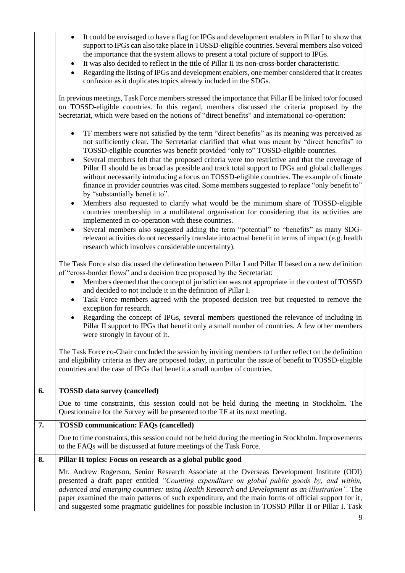| It could be envisaged to have a flag for IPGs and development enablers in Pillar I to show that |
|-------------------------------------------------------------------------------------------------|
| support to IPGs can also take place in TOSSD-eligible countries. Several members also voiced    |
| the importance that the system allows to present a total picture of support to IPGs.            |

- It was also decided to reflect in the title of Pillar II its non-cross-border characteristic.
- Regarding the listing of IPGs and development enablers, one member considered that it creates confusion as it duplicates topics already included in the SDGs.

In previous meetings, Task Force members stressed the importance that Pillar II be linked to/or focused on TOSSD-eligible countries. In this regard, members discussed the criteria proposed by the Secretariat, which were based on the notions of "direct benefits" and international co-operation:

- TF members were not satisfied by the term "direct benefits" as its meaning was perceived as not sufficiently clear. The Secretariat clarified that what was meant by "direct benefits" to TOSSD-eligible countries was benefit provided "only to" TOSSD-eligible countries.
- Several members felt that the proposed criteria were too restrictive and that the coverage of Pillar II should be as broad as possible and track total support to IPGs and global challenges without necessarily introducing a focus on TOSSD-eligible countries. The example of climate finance in provider countries was cited. Some members suggested to replace "only benefit to" by "substantially benefit to".
- Members also requested to clarify what would be the minimum share of TOSSD-eligible countries membership in a multilateral organisation for considering that its activities are implemented in co-operation with these countries.
- Several members also suggested adding the term "potential" to "benefits" as many SDGrelevant activities do not necessarily translate into actual benefit in terms of impact (e.g. health research which involves considerable uncertainty).

The Task Force also discussed the delineation between Pillar I and Pillar II based on a new definition of "cross-border flows" and a decision tree proposed by the Secretariat:

- Members deemed that the concept of jurisdiction was not appropriate in the context of TOSSD and decided to not include it in the definition of Pillar I.
- Task Force members agreed with the proposed decision tree but requested to remove the exception for research.
- Regarding the concept of IPGs, several members questioned the relevance of including in Pillar II support to IPGs that benefit only a small number of countries. A few other members were strongly in favour of it.

The Task Force co-Chair concluded the session by inviting members to further reflect on the definition and eligibility criteria as they are proposed today, in particular the issue of benefit to TOSSD-eligible countries and the case of IPGs that benefit a small number of countries.

| 6. | <b>TOSSD</b> data survey (cancelled)                                                                                                                                                                                                                                                                                                                                                                                                                                                                          |
|----|---------------------------------------------------------------------------------------------------------------------------------------------------------------------------------------------------------------------------------------------------------------------------------------------------------------------------------------------------------------------------------------------------------------------------------------------------------------------------------------------------------------|
|    | Due to time constraints, this session could not be held during the meeting in Stockholm. The<br>Questionnaire for the Survey will be presented to the TF at its next meeting.                                                                                                                                                                                                                                                                                                                                 |
| 7. | <b>TOSSD</b> communication: FAQs (cancelled)                                                                                                                                                                                                                                                                                                                                                                                                                                                                  |
|    | Due to time constraints, this session could not be held during the meeting in Stockholm. Improvements<br>to the FAQs will be discussed at future meetings of the Task Force.                                                                                                                                                                                                                                                                                                                                  |
| 8. | Pillar II topics: Focus on research as a global public good                                                                                                                                                                                                                                                                                                                                                                                                                                                   |
|    | Mr. Andrew Rogerson, Senior Research Associate at the Overseas Development Institute (ODI)<br>presented a draft paper entitled "Counting expenditure on global public goods by, and within,<br>advanced and emerging countries: using Health Research and Development as an illustration". The<br>paper examined the main patterns of such expenditure, and the main forms of official support for it,<br>and suggested some pragmatic guidelines for possible inclusion in TOSSD Pillar II or Pillar I. Task |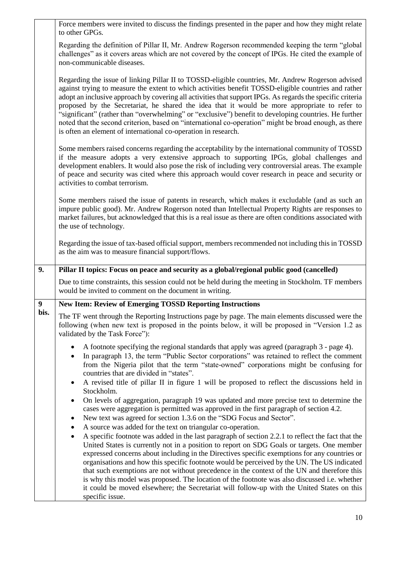|                  | Force members were invited to discuss the findings presented in the paper and how they might relate<br>to other GPGs.                                                                                                                                                                                                                                                                                                                                                                                                                                                                                                                                                                                         |
|------------------|---------------------------------------------------------------------------------------------------------------------------------------------------------------------------------------------------------------------------------------------------------------------------------------------------------------------------------------------------------------------------------------------------------------------------------------------------------------------------------------------------------------------------------------------------------------------------------------------------------------------------------------------------------------------------------------------------------------|
|                  | Regarding the definition of Pillar II, Mr. Andrew Rogerson recommended keeping the term "global<br>challenges" as it covers areas which are not covered by the concept of IPGs. He cited the example of<br>non-communicable diseases.                                                                                                                                                                                                                                                                                                                                                                                                                                                                         |
|                  | Regarding the issue of linking Pillar II to TOSSD-eligible countries, Mr. Andrew Rogerson advised<br>against trying to measure the extent to which activities benefit TOSSD-eligible countries and rather<br>adopt an inclusive approach by covering all activities that support IPGs. As regards the specific criteria<br>proposed by the Secretariat, he shared the idea that it would be more appropriate to refer to<br>"significant" (rather than "overwhelming" or "exclusive") benefit to developing countries. He further<br>noted that the second criterion, based on "international co-operation" might be broad enough, as there<br>is often an element of international co-operation in research. |
|                  | Some members raised concerns regarding the acceptability by the international community of TOSSD<br>if the measure adopts a very extensive approach to supporting IPGs, global challenges and<br>development enablers. It would also pose the risk of including very controversial areas. The example<br>of peace and security was cited where this approach would cover research in peace and security or<br>activities to combat terrorism.                                                                                                                                                                                                                                                                 |
|                  | Some members raised the issue of patents in research, which makes it excludable (and as such an<br>impure public good). Mr. Andrew Rogerson noted than Intellectual Property Rights are responses to<br>market failures, but acknowledged that this is a real issue as there are often conditions associated with<br>the use of technology.                                                                                                                                                                                                                                                                                                                                                                   |
|                  | Regarding the issue of tax-based official support, members recommended not including this in TOSSD<br>as the aim was to measure financial support/flows.                                                                                                                                                                                                                                                                                                                                                                                                                                                                                                                                                      |
|                  |                                                                                                                                                                                                                                                                                                                                                                                                                                                                                                                                                                                                                                                                                                               |
| 9.               | Pillar II topics: Focus on peace and security as a global/regional public good (cancelled)                                                                                                                                                                                                                                                                                                                                                                                                                                                                                                                                                                                                                    |
|                  | Due to time constraints, this session could not be held during the meeting in Stockholm. TF members<br>would be invited to comment on the document in writing.                                                                                                                                                                                                                                                                                                                                                                                                                                                                                                                                                |
| $\boldsymbol{9}$ | <b>New Item: Review of Emerging TOSSD Reporting Instructions</b>                                                                                                                                                                                                                                                                                                                                                                                                                                                                                                                                                                                                                                              |
| bis.             | The TF went through the Reporting Instructions page by page. The main elements discussed were the<br>following (when new text is proposed in the points below, it will be proposed in "Version 1.2 as<br>validated by the Task Force"):                                                                                                                                                                                                                                                                                                                                                                                                                                                                       |
|                  | A footnote specifying the regional standards that apply was agreed (paragraph 3 - page 4).<br>In paragraph 13, the term "Public Sector corporations" was retained to reflect the comment<br>$\bullet$<br>from the Nigeria pilot that the term "state-owned" corporations might be confusing for<br>countries that are divided in "states".<br>A revised title of pillar II in figure 1 will be proposed to reflect the discussions held in<br>٠                                                                                                                                                                                                                                                               |
|                  | Stockholm.<br>On levels of aggregation, paragraph 19 was updated and more precise text to determine the<br>$\bullet$<br>cases were aggregation is permitted was approved in the first paragraph of section 4.2.<br>New text was agreed for section 1.3.6 on the "SDG Focus and Sector".<br>$\bullet$<br>A source was added for the text on triangular co-operation.<br>٠                                                                                                                                                                                                                                                                                                                                      |